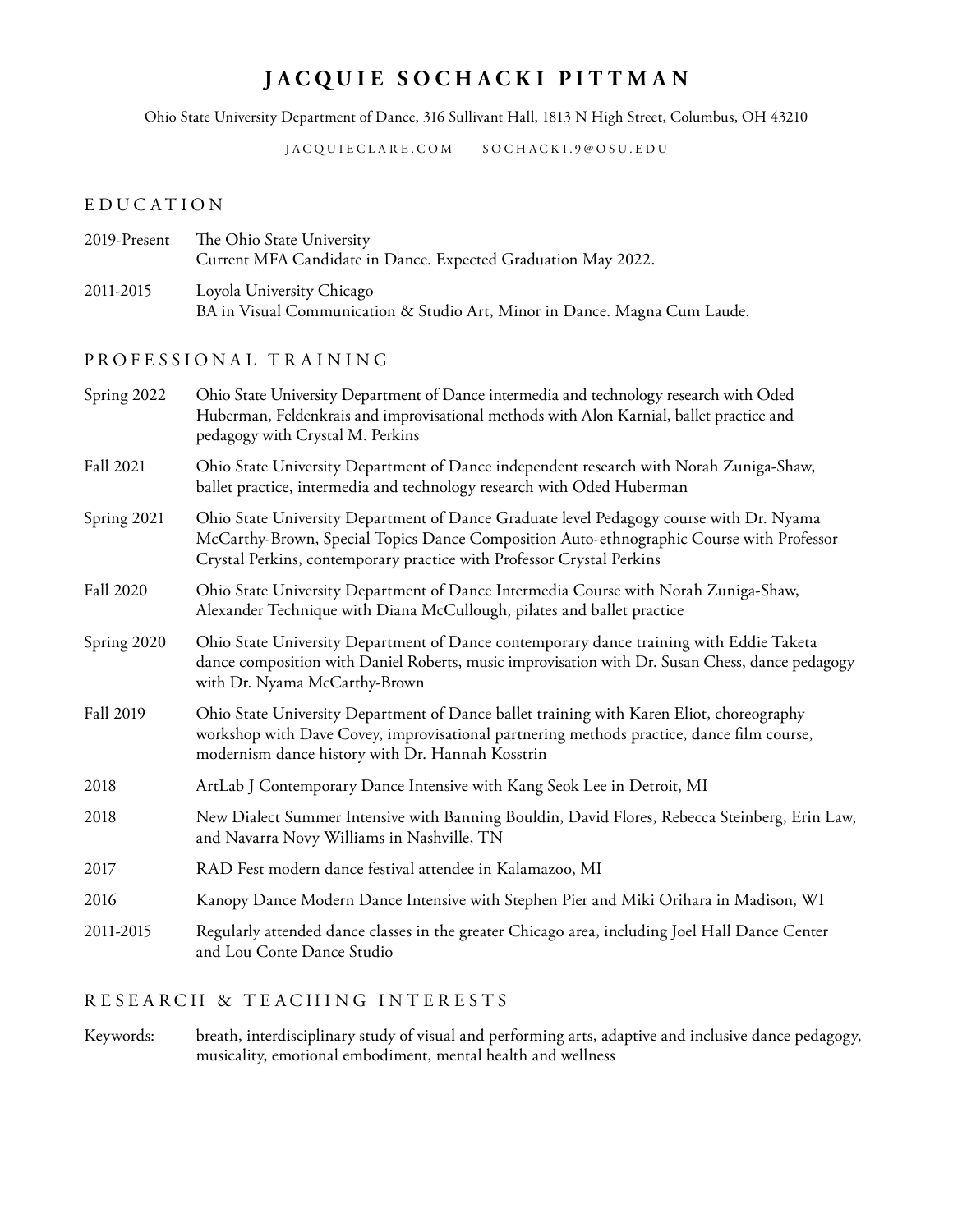# **JACQUIE SOCHACKI PITTMAN**

Ohio State University Department of Dance, 316 Sullivant Hall, 1813 N High Street, Columbus, OH 43210

[JACQUIECLARE.COM](http://jacquieclare.com) | SOCHACKI.9@OSU.EDU

## EDUCATION

| 2019-Present | The Ohio State University                                     |
|--------------|---------------------------------------------------------------|
|              | Current MFA Candidate in Dance. Expected Graduation May 2022. |
| ---------    |                                                               |

2011-2015 Loyola University Chicago BA in Visual Communication & Studio Art, Minor in Dance. Magna Cum Laude.

## P R O F E S S I O N A L T R A I N I N G

| Spring 2022      | Ohio State University Department of Dance intermedia and technology research with Oded<br>Huberman, Feldenkrais and improvisational methods with Alon Karnial, ballet practice and<br>pedagogy with Crystal M. Perkins                                       |
|------------------|--------------------------------------------------------------------------------------------------------------------------------------------------------------------------------------------------------------------------------------------------------------|
| <b>Fall 2021</b> | Ohio State University Department of Dance independent research with Norah Zuniga-Shaw,<br>ballet practice, intermedia and technology research with Oded Huberman                                                                                             |
| Spring 2021      | Ohio State University Department of Dance Graduate level Pedagogy course with Dr. Nyama<br>McCarthy-Brown, Special Topics Dance Composition Auto-ethnographic Course with Professor<br>Crystal Perkins, contemporary practice with Professor Crystal Perkins |
| <b>Fall 2020</b> | Ohio State University Department of Dance Intermedia Course with Norah Zuniga-Shaw,<br>Alexander Technique with Diana McCullough, pilates and ballet practice                                                                                                |
| Spring 2020      | Ohio State University Department of Dance contemporary dance training with Eddie Taketa<br>dance composition with Daniel Roberts, music improvisation with Dr. Susan Chess, dance pedagogy<br>with Dr. Nyama McCarthy-Brown                                  |
| <b>Fall 2019</b> | Ohio State University Department of Dance ballet training with Karen Eliot, choreography<br>workshop with Dave Covey, improvisational partnering methods practice, dance film course,<br>modernism dance history with Dr. Hannah Kosstrin                    |
| 2018             | ArtLab J Contemporary Dance Intensive with Kang Seok Lee in Detroit, MI                                                                                                                                                                                      |
| 2018             | New Dialect Summer Intensive with Banning Bouldin, David Flores, Rebecca Steinberg, Erin Law,<br>and Navarra Novy Williams in Nashville, TN                                                                                                                  |
| 2017             | RAD Fest modern dance festival attendee in Kalamazoo, MI                                                                                                                                                                                                     |
| 2016             | Kanopy Dance Modern Dance Intensive with Stephen Pier and Miki Orihara in Madison, WI                                                                                                                                                                        |
| 2011-2015        | Regularly attended dance classes in the greater Chicago area, including Joel Hall Dance Center<br>and Lou Conte Dance Studio                                                                                                                                 |
|                  |                                                                                                                                                                                                                                                              |

## RESEARCH & TEACHING INTERESTS

Keywords: breath, interdisciplinary study of visual and performing arts, adaptive and inclusive dance pedagogy, musicality, emotional embodiment, mental health and wellness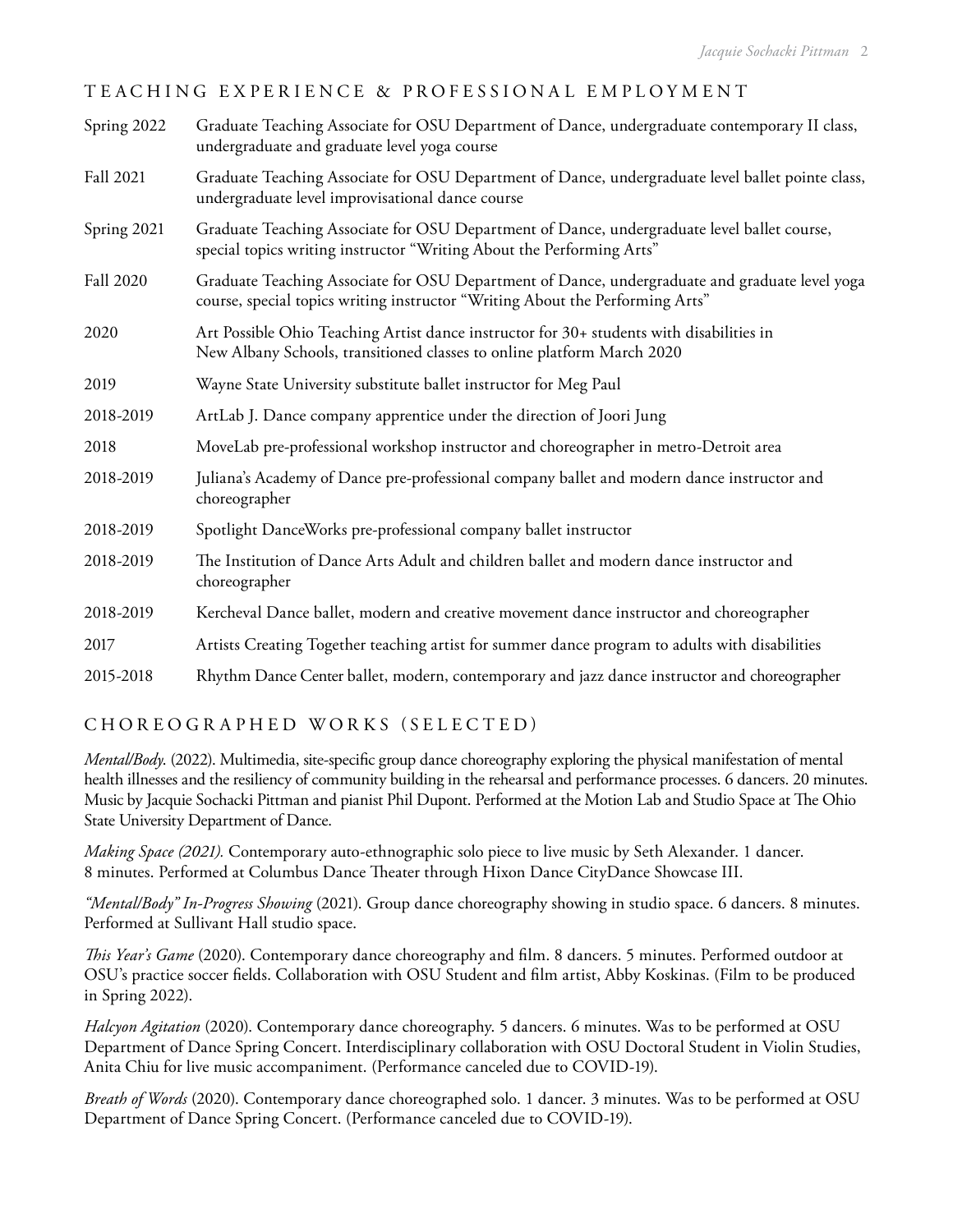## TEACHING EXPERIENCE & PROFESSIONAL EMPLOYMENT

| Spring 2022      | Graduate Teaching Associate for OSU Department of Dance, undergraduate contemporary II class,<br>undergraduate and graduate level yoga course                                   |
|------------------|---------------------------------------------------------------------------------------------------------------------------------------------------------------------------------|
| Fall 2021        | Graduate Teaching Associate for OSU Department of Dance, undergraduate level ballet pointe class,<br>undergraduate level improvisational dance course                           |
| Spring 2021      | Graduate Teaching Associate for OSU Department of Dance, undergraduate level ballet course,<br>special topics writing instructor "Writing About the Performing Arts"            |
| <b>Fall 2020</b> | Graduate Teaching Associate for OSU Department of Dance, undergraduate and graduate level yoga<br>course, special topics writing instructor "Writing About the Performing Arts" |
| 2020             | Art Possible Ohio Teaching Artist dance instructor for 30+ students with disabilities in<br>New Albany Schools, transitioned classes to online platform March 2020              |
| 2019             | Wayne State University substitute ballet instructor for Meg Paul                                                                                                                |
| 2018-2019        | ArtLab J. Dance company apprentice under the direction of Joori Jung                                                                                                            |
| 2018             | MoveLab pre-professional workshop instructor and choreographer in metro-Detroit area                                                                                            |
| 2018-2019        | Juliana's Academy of Dance pre-professional company ballet and modern dance instructor and<br>choreographer                                                                     |
| 2018-2019        | Spotlight DanceWorks pre-professional company ballet instructor                                                                                                                 |
| 2018-2019        | The Institution of Dance Arts Adult and children ballet and modern dance instructor and<br>choreographer                                                                        |
| 2018-2019        | Kercheval Dance ballet, modern and creative movement dance instructor and choreographer                                                                                         |
| 2017             | Artists Creating Together teaching artist for summer dance program to adults with disabilities                                                                                  |
| 2015-2018        | Rhythm Dance Center ballet, modern, contemporary and jazz dance instructor and choreographer                                                                                    |

## CHOREOGRAPHED WORKS (SELECTED)

*Mental/Body*. (2022). Multimedia, site-specific group dance choreography exploring the physical manifestation of mental health illnesses and the resiliency of community building in the rehearsal and performance processes. 6 dancers. 20 minutes. Music by Jacquie Sochacki Pittman and pianist Phil Dupont. Performed at the Motion Lab and Studio Space at The Ohio State University Department of Dance.

*Making Space (2021).* Contemporary auto-ethnographic solo piece to live music by Seth Alexander. 1 dancer. 8 minutes. Performed at Columbus Dance Theater through Hixon Dance CityDance Showcase III.

*"Mental/Body" In-Progress Showing* (2021). Group dance choreography showing in studio space. 6 dancers. 8 minutes. Performed at Sullivant Hall studio space.

*This Year's Game* (2020). Contemporary dance choreography and film. 8 dancers. 5 minutes. Performed outdoor at OSU's practice soccer fields. Collaboration with OSU Student and film artist, Abby Koskinas. (Film to be produced in Spring 2022).

*Halcyon Agitation* (2020). Contemporary dance choreography. 5 dancers. 6 minutes. Was to be performed at OSU Department of Dance Spring Concert. Interdisciplinary collaboration with OSU Doctoral Student in Violin Studies, Anita Chiu for live music accompaniment. (Performance canceled due to COVID-19).

*Breath of Words* (2020). Contemporary dance choreographed solo. 1 dancer. 3 minutes. Was to be performed at OSU Department of Dance Spring Concert. (Performance canceled due to COVID-19).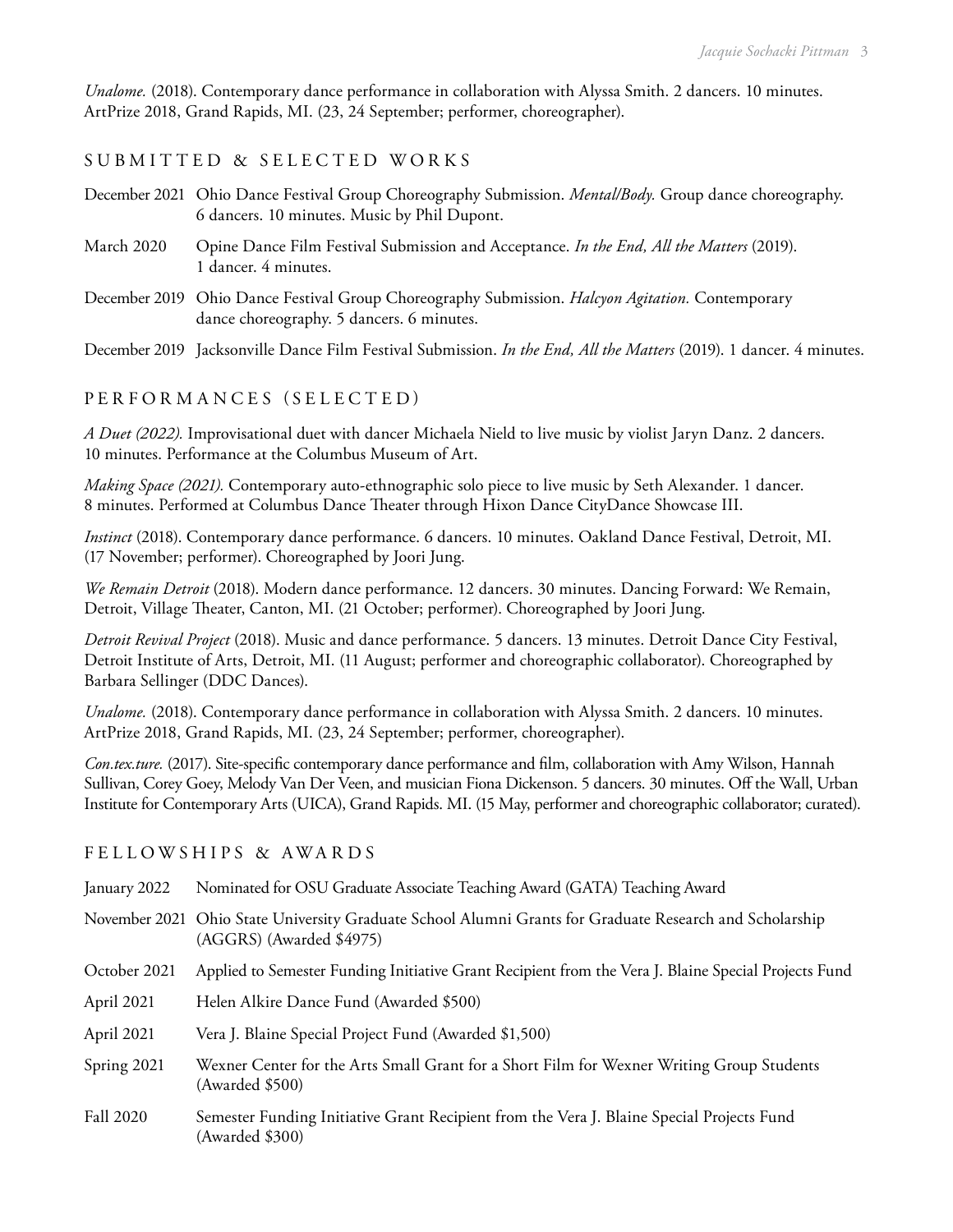*Unalome.* (2018). Contemporary dance performance in collaboration with Alyssa Smith. 2 dancers. 10 minutes. ArtPrize 2018, Grand Rapids, MI. (23, 24 September; performer, choreographer).

## SUBMITTED & SELECTED WORKS

- December 2021 Ohio Dance Festival Group Choreography Submission. *Mental/Body.* Group dance choreography. 6 dancers. 10 minutes. Music by Phil Dupont.
- March 2020 Opine Dance Film Festival Submission and Acceptance. *In the End, All the Matters* (2019). 1 dancer. 4 minutes.
- December 2019 Ohio Dance Festival Group Choreography Submission. *Halcyon Agitation.* Contemporary dance choreography. 5 dancers. 6 minutes.

December 2019 Jacksonville Dance Film Festival Submission. *In the End, All the Matters* (2019). 1 dancer. 4 minutes.

#### PERFORMANCES (SELECTED)

*A Duet (2022).* Improvisational duet with dancer Michaela Nield to live music by violist Jaryn Danz. 2 dancers. 10 minutes. Performance at the Columbus Museum of Art.

*Making Space (2021).* Contemporary auto-ethnographic solo piece to live music by Seth Alexander. 1 dancer. 8 minutes. Performed at Columbus Dance Theater through Hixon Dance CityDance Showcase III.

*Instinct* (2018). Contemporary dance performance. 6 dancers. 10 minutes. Oakland Dance Festival, Detroit, MI. (17 November; performer). Choreographed by Joori Jung.

*We Remain Detroit* (2018). Modern dance performance. 12 dancers. 30 minutes. Dancing Forward: We Remain, Detroit, Village Theater, Canton, MI. (21 October; performer). Choreographed by Joori Jung.

*Detroit Revival Project* (2018). Music and dance performance. 5 dancers. 13 minutes. Detroit Dance City Festival, Detroit Institute of Arts, Detroit, MI. (11 August; performer and choreographic collaborator). Choreographed by Barbara Sellinger (DDC Dances).

*Unalome.* (2018). Contemporary dance performance in collaboration with Alyssa Smith. 2 dancers. 10 minutes. ArtPrize 2018, Grand Rapids, MI. (23, 24 September; performer, choreographer).

*Con.tex.ture.* (2017). Site-specific contemporary dance performance and film, collaboration with Amy Wilson, Hannah Sullivan, Corey Goey, Melody Van Der Veen, and musician Fiona Dickenson. 5 dancers. 30 minutes. Off the Wall, Urban Institute for Contemporary Arts (UICA), Grand Rapids. MI. (15 May, performer and choreographic collaborator; curated).

#### FELLOWSHIPS & AWAR DS

- January 2022 Nominated for OSU Graduate Associate Teaching Award (GATA) Teaching Award
- November 2021 Ohio State University Graduate School Alumni Grants for Graduate Research and Scholarship (AGGRS) (Awarded \$4975)
- October 2021 Applied to Semester Funding Initiative Grant Recipient from the Vera J. Blaine Special Projects Fund
- April 2021 Helen Alkire Dance Fund (Awarded \$500)
- April 2021 Vera J. Blaine Special Project Fund (Awarded \$1,500)
- Spring 2021 Wexner Center for the Arts Small Grant for a Short Film for Wexner Writing Group Students (Awarded \$500)
- Fall 2020 Semester Funding Initiative Grant Recipient from the Vera J. Blaine Special Projects Fund (Awarded \$300)